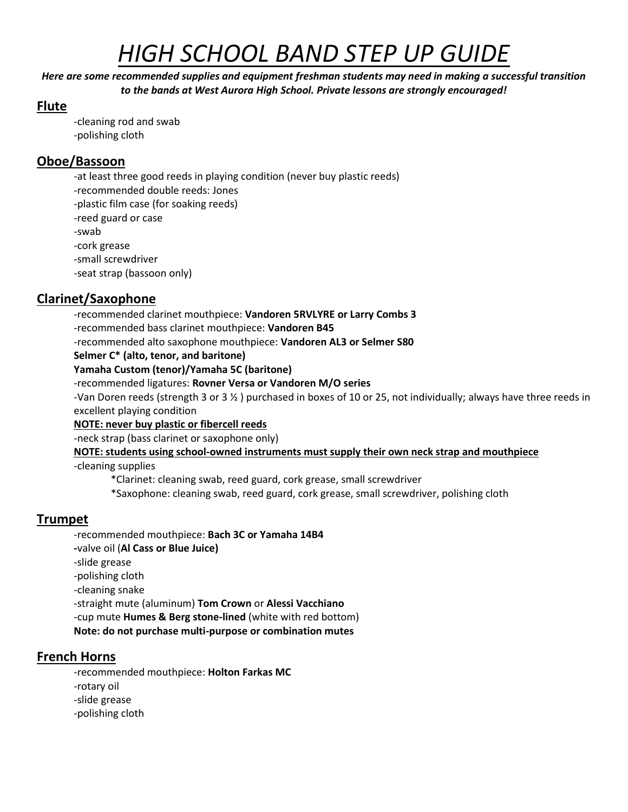# *HIGH SCHOOL BAND STEP UP GUIDE*

*Here are some recommended supplies and equipment freshman students may need in making a successful transition to the bands at West Aurora High School. Private lessons are strongly encouraged!*

#### **Flute**

-cleaning rod and swab -polishing cloth

#### **Oboe/Bassoon**

-at least three good reeds in playing condition (never buy plastic reeds) -recommended double reeds: Jones -plastic film case (for soaking reeds) -reed guard or case -swab -cork grease -small screwdriver

-seat strap (bassoon only)

# **Clarinet/Saxophone**

-recommended clarinet mouthpiece: **Vandoren 5RVLYRE or Larry Combs 3** -recommended bass clarinet mouthpiece: **Vandoren B45**

-recommended alto saxophone mouthpiece: **Vandoren AL3 or Selmer S80**

**Selmer C\* (alto, tenor, and baritone)**

**Yamaha Custom (tenor)/Yamaha 5C (baritone)**

#### -recommended ligatures: **Rovner Versa or Vandoren M/O series**

-Van Doren reeds (strength 3 or 3 ½ ) purchased in boxes of 10 or 25, not individually; always have three reeds in excellent playing condition

#### **NOTE: never buy plastic or fibercell reeds**

-neck strap (bass clarinet or saxophone only)

**NOTE: students using school-owned instruments must supply their own neck strap and mouthpiece**

-cleaning supplies

\*Clarinet: cleaning swab, reed guard, cork grease, small screwdriver

\*Saxophone: cleaning swab, reed guard, cork grease, small screwdriver, polishing cloth

# **Trumpet**

-recommended mouthpiece: **Bach 3C or Yamaha 14B4 -**valve oil (**Al Cass or Blue Juice)** -slide grease -polishing cloth -cleaning snake -straight mute (aluminum) **Tom Crown** or **Alessi Vacchiano** -cup mute **Humes & Berg stone-lined** (white with red bottom) **Note: do not purchase multi-purpose or combination mutes**

# **French Horns**

-recommended mouthpiece: **Holton Farkas MC** -rotary oil -slide grease -polishing cloth